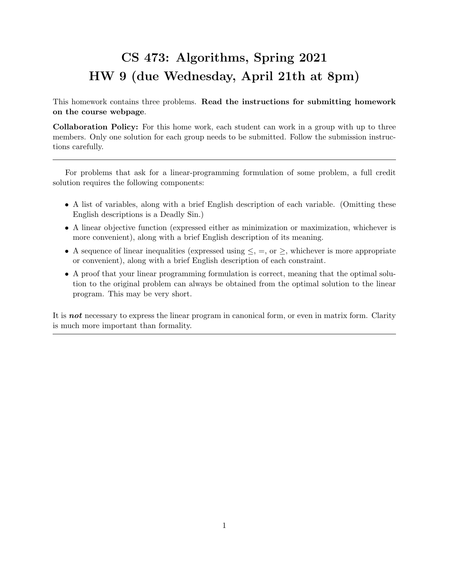## CS 473: Algorithms, Spring 2021 HW 9 (due Wednesday, April 21th at 8pm)

This homework contains three problems. Read the instructions for submitting homework on the course webpage.

Collaboration Policy: For this home work, each student can work in a group with up to three members. Only one solution for each group needs to be submitted. Follow the submission instructions carefully.

For problems that ask for a linear-programming formulation of some problem, a full credit solution requires the following components:

- A list of variables, along with a brief English description of each variable. (Omitting these English descriptions is a Deadly Sin.)
- A linear objective function (expressed either as minimization or maximization, whichever is more convenient), along with a brief English description of its meaning.
- A sequence of linear inequalities (expressed using  $\leq$ ,  $=$ , or  $\geq$ , whichever is more appropriate or convenient), along with a brief English description of each constraint.
- A proof that your linear programming formulation is correct, meaning that the optimal solution to the original problem can always be obtained from the optimal solution to the linear program. This may be very short.

It is **not** necessary to express the linear program in canonical form, or even in matrix form. Clarity is much more important than formality.